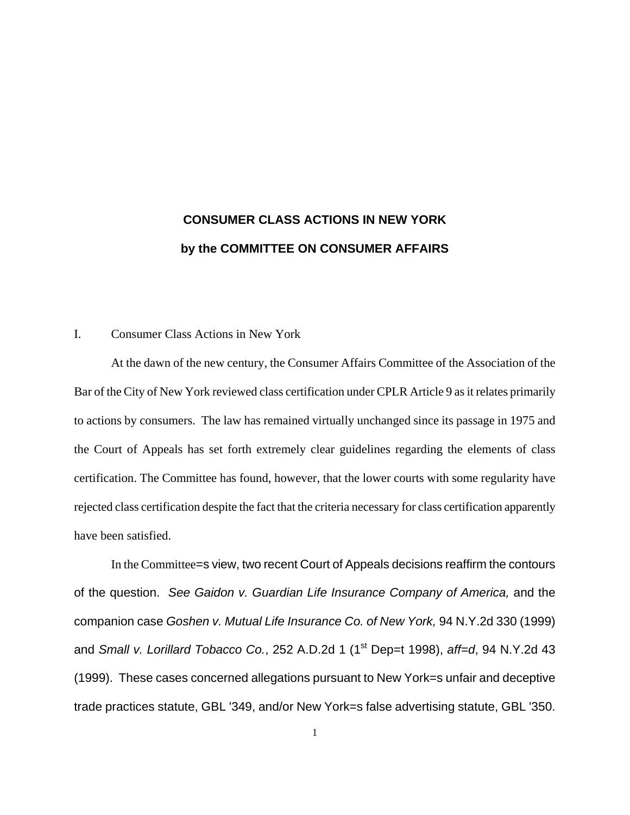# **CONSUMER CLASS ACTIONS IN NEW YORK by the COMMITTEE ON CONSUMER AFFAIRS**

## I. Consumer Class Actions in New York

At the dawn of the new century, the Consumer Affairs Committee of the Association of the Bar of the City of New York reviewed class certification under CPLR Article 9 as it relates primarily to actions by consumers. The law has remained virtually unchanged since its passage in 1975 and the Court of Appeals has set forth extremely clear guidelines regarding the elements of class certification. The Committee has found, however, that the lower courts with some regularity have rejected class certification despite the fact that the criteria necessary for class certification apparently have been satisfied.

In the Committee=s view, two recent Court of Appeals decisions reaffirm the contours of the question. *See Gaidon v. Guardian Life Insurance Company of America,* and the companion case *Goshen v. Mutual Life Insurance Co. of New York,* 94 N.Y.2d 330 (1999) and *Small v. Lorillard Tobacco Co.*, 252 A.D.2d 1 (1<sup>st</sup> Dep=t 1998), *aff=d*, 94 N.Y.2d 43 (1999). These cases concerned allegations pursuant to New York=s unfair and deceptive trade practices statute, GBL '349, and/or New York=s false advertising statute, GBL '350.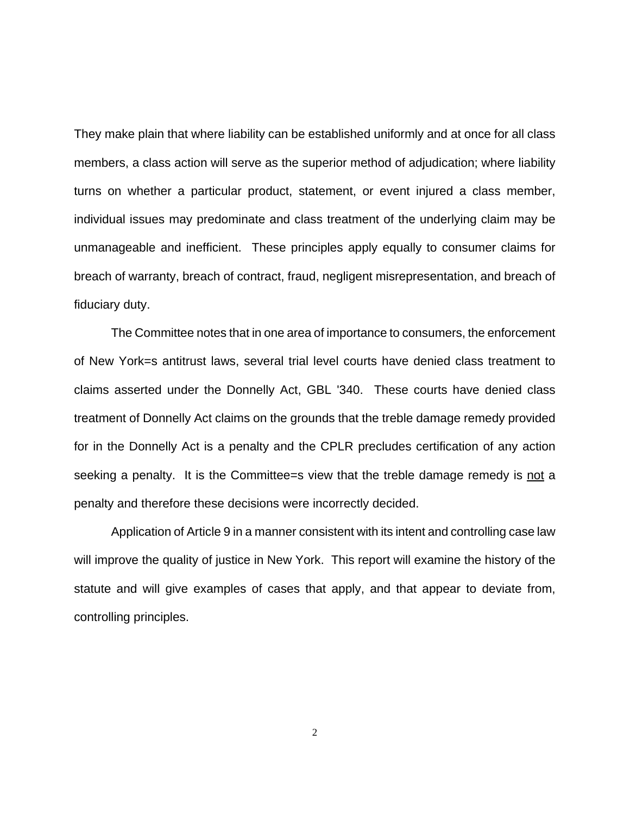They make plain that where liability can be established uniformly and at once for all class members, a class action will serve as the superior method of adjudication; where liability turns on whether a particular product, statement, or event injured a class member, individual issues may predominate and class treatment of the underlying claim may be unmanageable and inefficient. These principles apply equally to consumer claims for breach of warranty, breach of contract, fraud, negligent misrepresentation, and breach of fiduciary duty.

The Committee notes that in one area of importance to consumers, the enforcement of New York=s antitrust laws, several trial level courts have denied class treatment to claims asserted under the Donnelly Act, GBL '340. These courts have denied class treatment of Donnelly Act claims on the grounds that the treble damage remedy provided for in the Donnelly Act is a penalty and the CPLR precludes certification of any action seeking a penalty. It is the Committee=s view that the treble damage remedy is not a penalty and therefore these decisions were incorrectly decided.

Application of Article 9 in a manner consistent with its intent and controlling case law will improve the quality of justice in New York. This report will examine the history of the statute and will give examples of cases that apply, and that appear to deviate from, controlling principles.

2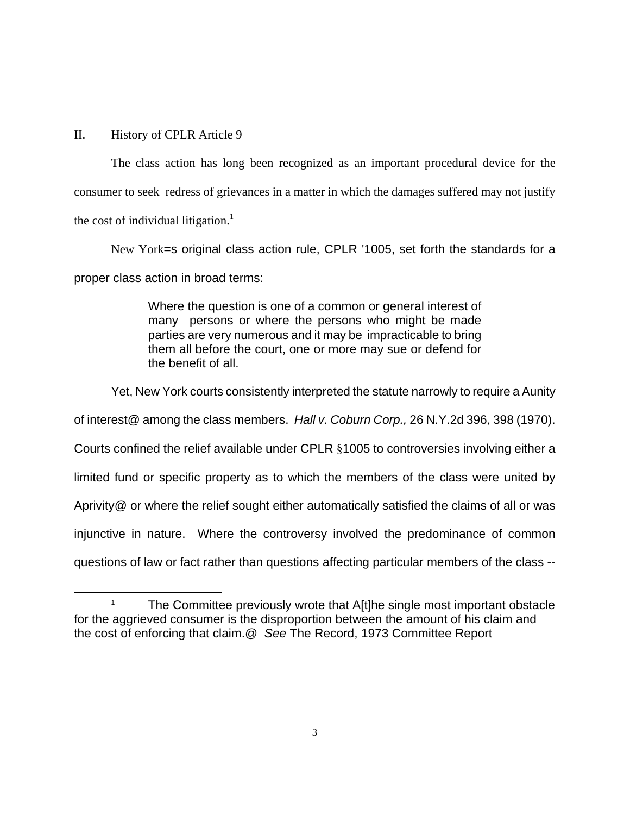## II. History of CPLR Article 9

 $\overline{a}$ 

The class action has long been recognized as an important procedural device for the consumer to seek redress of grievances in a matter in which the damages suffered may not justify the cost of individual litigation.<sup>1</sup>

New York=s original class action rule, CPLR '1005, set forth the standards for a proper class action in broad terms:

> Where the question is one of a common or general interest of many persons or where the persons who might be made parties are very numerous and it may be impracticable to bring them all before the court, one or more may sue or defend for the benefit of all.

Yet, New York courts consistently interpreted the statute narrowly to require a Aunity

of interest@ among the class members. *Hall v. Coburn Corp.,* 26 N.Y.2d 396, 398 (1970).

Courts confined the relief available under CPLR §1005 to controversies involving either a

limited fund or specific property as to which the members of the class were united by

Aprivity@ or where the relief sought either automatically satisfied the claims of all or was

injunctive in nature. Where the controversy involved the predominance of common

questions of law or fact rather than questions affecting particular members of the class --

<sup>1</sup> The Committee previously wrote that A[t]he single most important obstacle for the aggrieved consumer is the disproportion between the amount of his claim and the cost of enforcing that claim.@ *See* The Record, 1973 Committee Report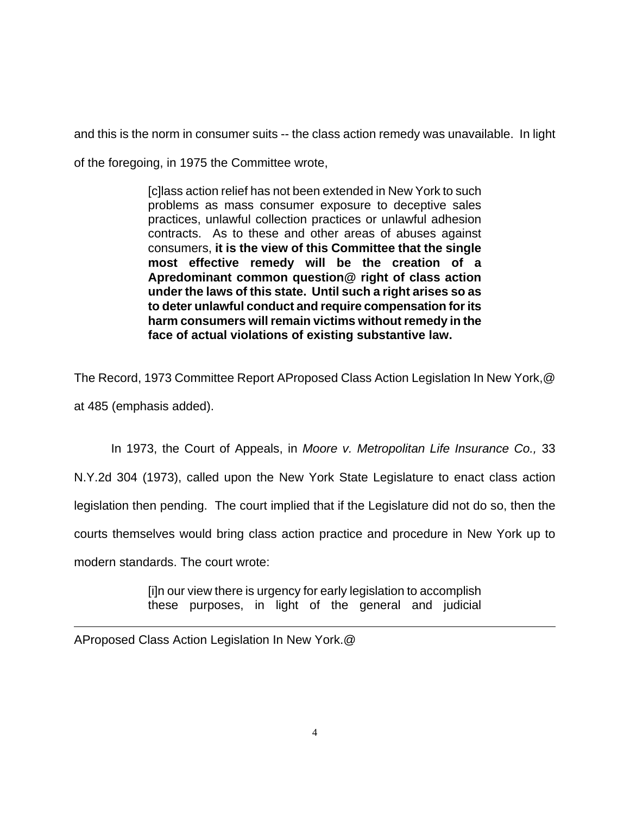and this is the norm in consumer suits -- the class action remedy was unavailable. In light

of the foregoing, in 1975 the Committee wrote,

[c]lass action relief has not been extended in New York to such problems as mass consumer exposure to deceptive sales practices, unlawful collection practices or unlawful adhesion contracts. As to these and other areas of abuses against consumers, **it is the view of this Committee that the single most effective remedy will be the creation of a Apredominant common question@ right of class action under the laws of this state. Until such a right arises so as to deter unlawful conduct and require compensation for its harm consumers will remain victims without remedy in the face of actual violations of existing substantive law.** 

The Record, 1973 Committee Report AProposed Class Action Legislation In New York,@ at 485 (emphasis added).

In 1973, the Court of Appeals, in *Moore v. Metropolitan Life Insurance Co.,* 33 N.Y.2d 304 (1973), called upon the New York State Legislature to enact class action legislation then pending. The court implied that if the Legislature did not do so, then the courts themselves would bring class action practice and procedure in New York up to modern standards. The court wrote:

> [i]n our view there is urgency for early legislation to accomplish these purposes, in light of the general and judicial

 $\overline{a}$ AProposed Class Action Legislation In New York.@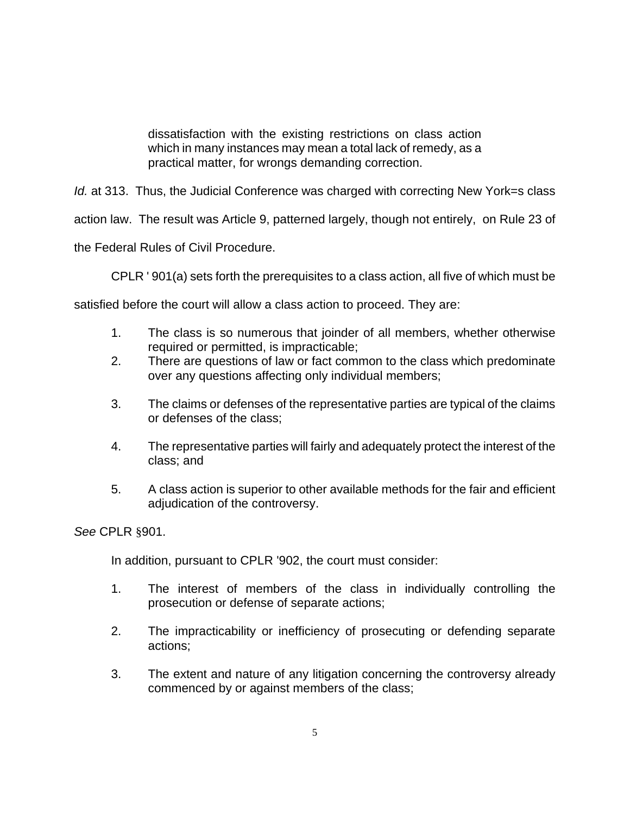dissatisfaction with the existing restrictions on class action which in many instances may mean a total lack of remedy, as a practical matter, for wrongs demanding correction.

*Id.* at 313. Thus, the Judicial Conference was charged with correcting New York=s class

action law. The result was Article 9, patterned largely, though not entirely, on Rule 23 of

the Federal Rules of Civil Procedure.

CPLR ' 901(a) sets forth the prerequisites to a class action, all five of which must be

satisfied before the court will allow a class action to proceed. They are:

- 1. The class is so numerous that joinder of all members, whether otherwise required or permitted, is impracticable;
- 2. There are questions of law or fact common to the class which predominate over any questions affecting only individual members;
- 3. The claims or defenses of the representative parties are typical of the claims or defenses of the class;
- 4. The representative parties will fairly and adequately protect the interest of the class; and
- 5. A class action is superior to other available methods for the fair and efficient adjudication of the controversy.

*See* CPLR §901.

In addition, pursuant to CPLR '902, the court must consider:

- 1. The interest of members of the class in individually controlling the prosecution or defense of separate actions;
- 2. The impracticability or inefficiency of prosecuting or defending separate actions;
- 3. The extent and nature of any litigation concerning the controversy already commenced by or against members of the class;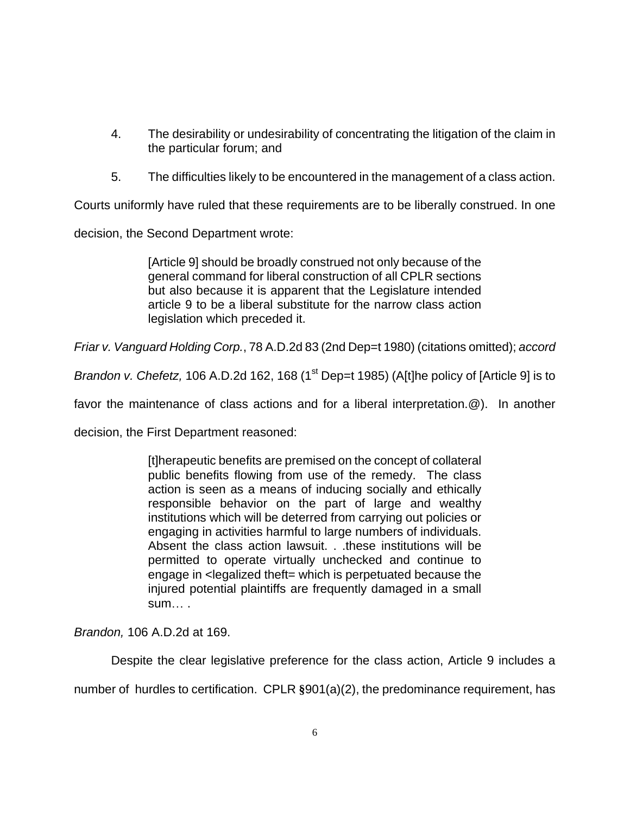- 4. The desirability or undesirability of concentrating the litigation of the claim in the particular forum; and
- 5. The difficulties likely to be encountered in the management of a class action.

Courts uniformly have ruled that these requirements are to be liberally construed. In one

decision, the Second Department wrote:

[Article 9] should be broadly construed not only because of the general command for liberal construction of all CPLR sections but also because it is apparent that the Legislature intended article 9 to be a liberal substitute for the narrow class action legislation which preceded it.

*Friar v. Vanguard Holding Corp.*, 78 A.D.2d 83 (2nd Dep=t 1980) (citations omitted); *accord*

*Brandon v. Chefetz,* 106 A.D.2d 162, 168 (1<sup>st</sup> Dep=t 1985) (A[t]he policy of [Article 9] is to

favor the maintenance of class actions and for a liberal interpretation.@). In another

decision, the First Department reasoned:

[t]herapeutic benefits are premised on the concept of collateral public benefits flowing from use of the remedy. The class action is seen as a means of inducing socially and ethically responsible behavior on the part of large and wealthy institutions which will be deterred from carrying out policies or engaging in activities harmful to large numbers of individuals. Absent the class action lawsuit. . .these institutions will be permitted to operate virtually unchecked and continue to engage in <legalized theft= which is perpetuated because the injured potential plaintiffs are frequently damaged in a small sum… .

*Brandon,* 106 A.D.2d at 169.

Despite the clear legislative preference for the class action, Article 9 includes a

number of hurdles to certification. CPLR **§**901(a)(2), the predominance requirement, has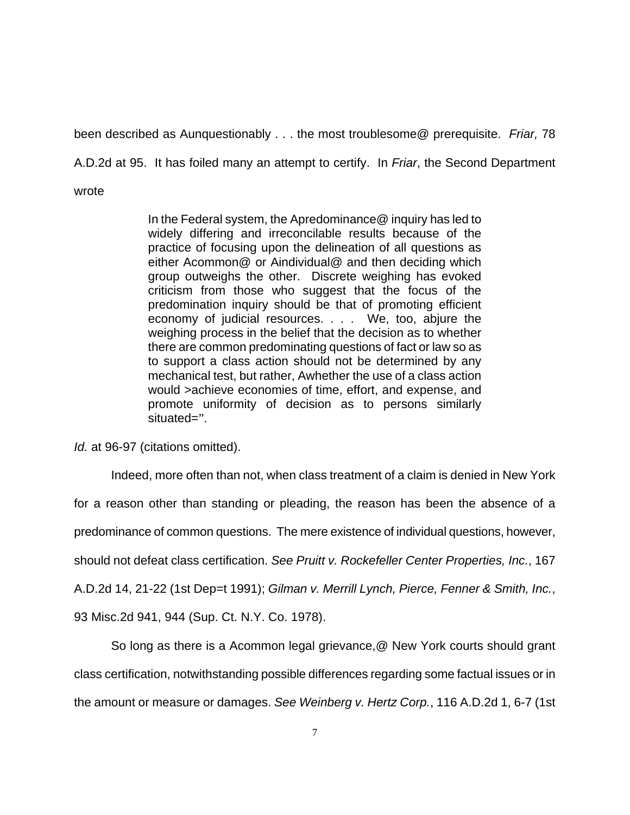been described as Aunquestionably . . . the most troublesome@ prerequisite. *Friar,* 78

A.D.2d at 95. It has foiled many an attempt to certify. In *Friar*, the Second Department

wrote

In the Federal system, the Apredominance@ inquiry has led to widely differing and irreconcilable results because of the practice of focusing upon the delineation of all questions as either Acommon@ or Aindividual@ and then deciding which group outweighs the other. Discrete weighing has evoked criticism from those who suggest that the focus of the predomination inquiry should be that of promoting efficient economy of judicial resources. . . . We, too, abjure the weighing process in the belief that the decision as to whether there are common predominating questions of fact or law so as to support a class action should not be determined by any mechanical test, but rather, Awhether the use of a class action would >achieve economies of time, effort, and expense, and promote uniformity of decision as to persons similarly situated=".

*Id.* at 96-97 (citations omitted).

Indeed, more often than not, when class treatment of a claim is denied in New York

for a reason other than standing or pleading, the reason has been the absence of a

predominance of common questions. The mere existence of individual questions, however,

should not defeat class certification. *See Pruitt v. Rockefeller Center Properties, Inc.*, 167

A.D.2d 14, 21-22 (1st Dep=t 1991); *Gilman v. Merrill Lynch, Pierce, Fenner & Smith, Inc.*,

93 Misc.2d 941, 944 (Sup. Ct. N.Y. Co. 1978).

So long as there is a Acommon legal grievance,@ New York courts should grant class certification, notwithstanding possible differences regarding some factual issues or in the amount or measure or damages. *See Weinberg v. Hertz Corp.*, 116 A.D.2d 1, 6-7 (1st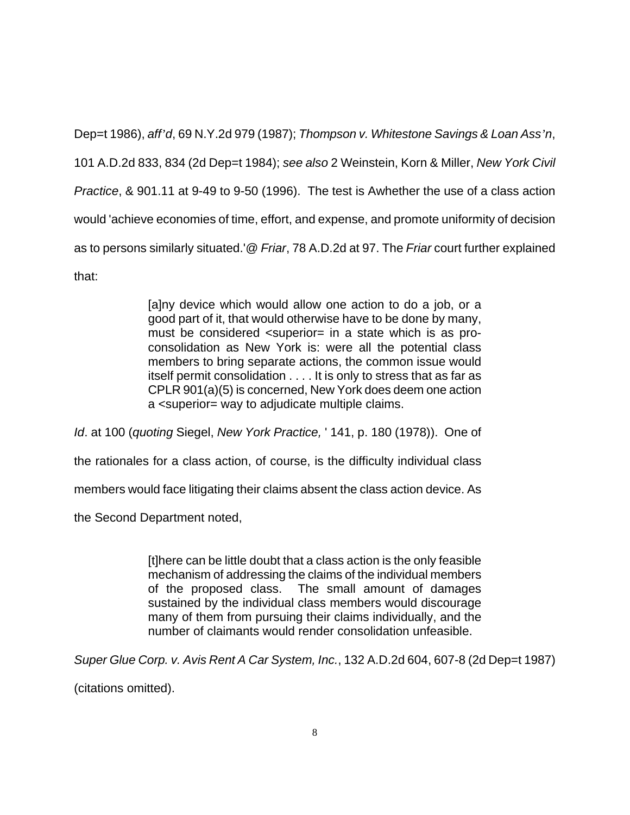Dep=t 1986), *aff'd*, 69 N.Y.2d 979 (1987); *Thompson v. Whitestone Savings & Loan Ass'n*, 101 A.D.2d 833, 834 (2d Dep=t 1984); *see also* 2 Weinstein, Korn & Miller, *New York Civil Practice*, & 901.11 at 9-49 to 9-50 (1996). The test is Awhether the use of a class action would 'achieve economies of time, effort, and expense, and promote uniformity of decision as to persons similarly situated.'@ *Friar*, 78 A.D.2d at 97. The *Friar* court further explained that:

> [a]ny device which would allow one action to do a job, or a good part of it, that would otherwise have to be done by many, must be considered <superior= in a state which is as proconsolidation as New York is: were all the potential class members to bring separate actions, the common issue would itself permit consolidation . . . . It is only to stress that as far as CPLR 901(a)(5) is concerned, New York does deem one action a <superior= way to adjudicate multiple claims.

*Id*. at 100 (*quoting* Siegel, *New York Practice,* ' 141, p. 180 (1978)). One of

the rationales for a class action, of course, is the difficulty individual class

members would face litigating their claims absent the class action device. As

the Second Department noted,

[t]here can be little doubt that a class action is the only feasible mechanism of addressing the claims of the individual members of the proposed class. The small amount of damages sustained by the individual class members would discourage many of them from pursuing their claims individually, and the number of claimants would render consolidation unfeasible.

*Super Glue Corp. v. Avis Rent A Car System, Inc.*, 132 A.D.2d 604, 607-8 (2d Dep=t 1987)

(citations omitted).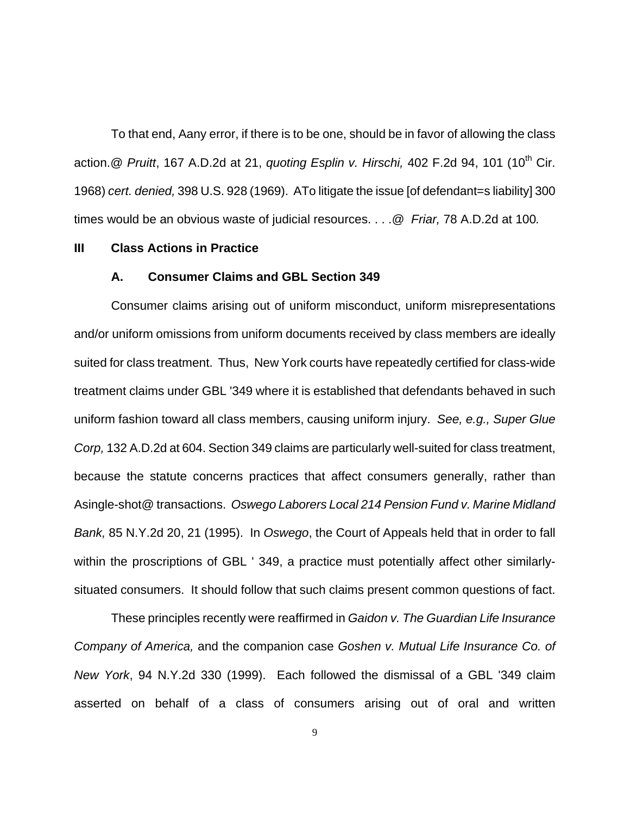To that end, Aany error, if there is to be one, should be in favor of allowing the class action. @ *Pruitt*, 167 A.D.2d at 21, *quoting Esplin v. Hirschi*, 402 F.2d 94, 101 (10<sup>th</sup> Cir. 1968) *cert. denied,* 398 U.S. 928 (1969). ATo litigate the issue [of defendant=s liability] 300 times would be an obvious waste of judicial resources. . . .@ *Friar,* 78 A.D.2d at 100*.* 

#### **III Class Actions in Practice**

#### **A. Consumer Claims and GBL Section 349**

Consumer claims arising out of uniform misconduct, uniform misrepresentations and/or uniform omissions from uniform documents received by class members are ideally suited for class treatment. Thus, New York courts have repeatedly certified for class-wide treatment claims under GBL '349 where it is established that defendants behaved in such uniform fashion toward all class members, causing uniform injury. *See, e.g., Super Glue Corp,* 132 A.D.2d at 604. Section 349 claims are particularly well-suited for class treatment, because the statute concerns practices that affect consumers generally, rather than Asingle-shot@ transactions. *Oswego Laborers Local 214 Pension Fund v. Marine Midland Bank,* 85 N.Y.2d 20, 21 (1995). In *Oswego*, the Court of Appeals held that in order to fall within the proscriptions of GBL ' 349, a practice must potentially affect other similarlysituated consumers. It should follow that such claims present common questions of fact.

These principles recently were reaffirmed in *Gaidon v. The Guardian Life Insurance Company of America,* and the companion case *Goshen v. Mutual Life Insurance Co. of New York*, 94 N.Y.2d 330 (1999). Each followed the dismissal of a GBL '349 claim asserted on behalf of a class of consumers arising out of oral and written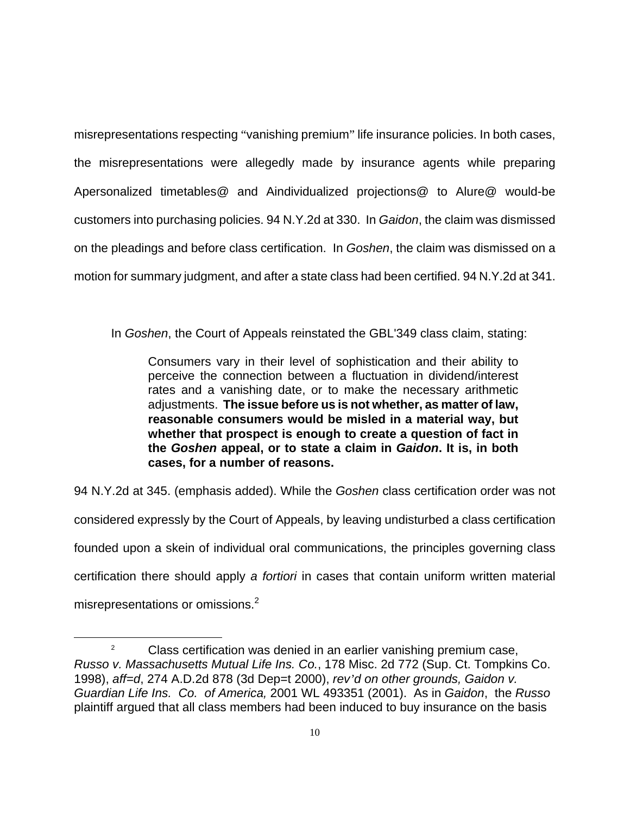misrepresentations respecting "vanishing premium" life insurance policies. In both cases, the misrepresentations were allegedly made by insurance agents while preparing Apersonalized timetables@ and Aindividualized projections@ to Alure@ would-be customers into purchasing policies. 94 N.Y.2d at 330. In *Gaidon*, the claim was dismissed on the pleadings and before class certification. In *Goshen*, the claim was dismissed on a motion for summary judgment, and after a state class had been certified. 94 N.Y.2d at 341.

In *Goshen*, the Court of Appeals reinstated the GBL'349 class claim, stating:

Consumers vary in their level of sophistication and their ability to perceive the connection between a fluctuation in dividend/interest rates and a vanishing date, or to make the necessary arithmetic adjustments. **The issue before us is not whether, as matter of law, reasonable consumers would be misled in a material way, but whether that prospect is enough to create a question of fact in the** *Goshen* **appeal, or to state a claim in** *Gaidon***. It is, in both cases, for a number of reasons.**

94 N.Y.2d at 345. (emphasis added). While the *Goshen* class certification order was not considered expressly by the Court of Appeals, by leaving undisturbed a class certification founded upon a skein of individual oral communications, the principles governing class certification there should apply *a fortiori* in cases that contain uniform written material misrepresentations or omissions. $2$ 

 $\overline{a}$ 

 $\mathfrak{p}$  Class certification was denied in an earlier vanishing premium case, *Russo v. Massachusetts Mutual Life Ins. Co.*, 178 Misc. 2d 772 (Sup. Ct. Tompkins Co. 1998), *aff=d*, 274 A.D.2d 878 (3d Dep=t 2000), *rev'd on other grounds, Gaidon v. Guardian Life Ins. Co. of America,* 2001 WL 493351 (2001). As in *Gaidon*, the *Russo* plaintiff argued that all class members had been induced to buy insurance on the basis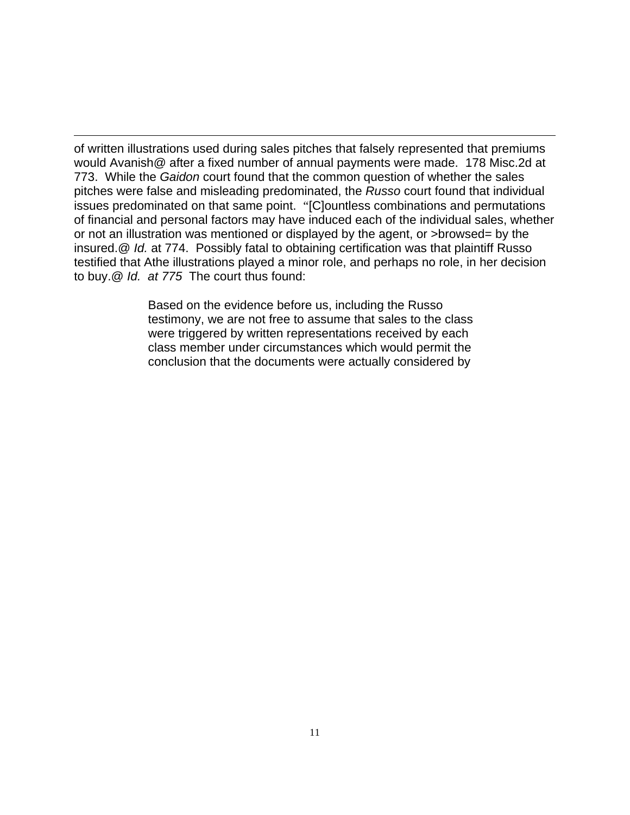$\overline{a}$ of written illustrations used during sales pitches that falsely represented that premiums would Avanish@ after a fixed number of annual payments were made. 178 Misc.2d at 773. While the *Gaidon* court found that the common question of whether the sales pitches were false and misleading predominated, the *Russo* court found that individual issues predominated on that same point. "[C]ountless combinations and permutations of financial and personal factors may have induced each of the individual sales, whether or not an illustration was mentioned or displayed by the agent, or >browsed= by the insured.@ *Id.* at 774. Possibly fatal to obtaining certification was that plaintiff Russo testified that Athe illustrations played a minor role, and perhaps no role, in her decision to buy.@ *Id. at 775* The court thus found:

> Based on the evidence before us, including the Russo testimony, we are not free to assume that sales to the class were triggered by written representations received by each class member under circumstances which would permit the conclusion that the documents were actually considered by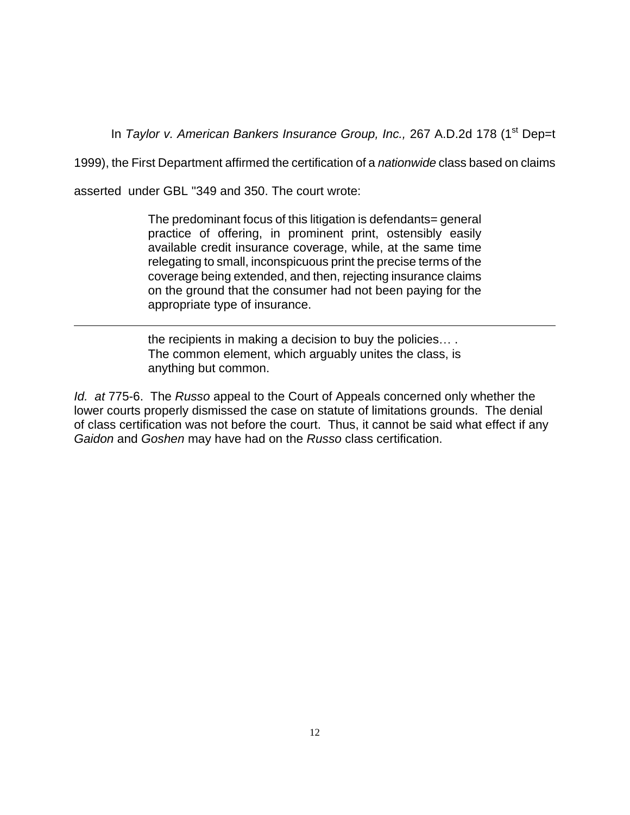In *Taylor v. American Bankers Insurance Group, Inc.,* 267 A.D.2d 178 (1<sup>st</sup> Dep=t

1999), the First Department affirmed the certification of a *nationwide* class based on claims

asserted under GBL ''349 and 350. The court wrote:

<u>.</u>

The predominant focus of this litigation is defendants= general practice of offering, in prominent print, ostensibly easily available credit insurance coverage, while, at the same time relegating to small, inconspicuous print the precise terms of the coverage being extended, and then, rejecting insurance claims on the ground that the consumer had not been paying for the appropriate type of insurance.

the recipients in making a decision to buy the policies… . The common element, which arguably unites the class, is anything but common.

*Id. at* 775-6. The *Russo* appeal to the Court of Appeals concerned only whether the lower courts properly dismissed the case on statute of limitations grounds. The denial of class certification was not before the court. Thus, it cannot be said what effect if any *Gaidon* and *Goshen* may have had on the *Russo* class certification.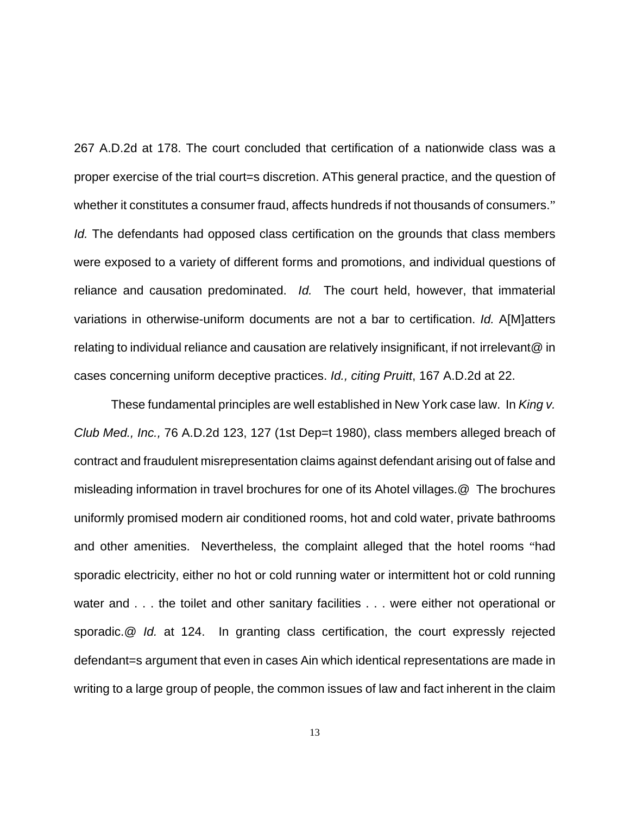267 A.D.2d at 178. The court concluded that certification of a nationwide class was a proper exercise of the trial court=s discretion. AThis general practice, and the question of whether it constitutes a consumer fraud, affects hundreds if not thousands of consumers." *Id.* The defendants had opposed class certification on the grounds that class members were exposed to a variety of different forms and promotions, and individual questions of reliance and causation predominated. *Id.* The court held, however, that immaterial variations in otherwise-uniform documents are not a bar to certification. *Id.* A[M]atters relating to individual reliance and causation are relatively insignificant, if not irrelevant@ in cases concerning uniform deceptive practices. *Id., citing Pruitt*, 167 A.D.2d at 22.

These fundamental principles are well established in New York case law. In *King v. Club Med., Inc.,* 76 A.D.2d 123, 127 (1st Dep=t 1980), class members alleged breach of contract and fraudulent misrepresentation claims against defendant arising out of false and misleading information in travel brochures for one of its Ahotel villages.@ The brochures uniformly promised modern air conditioned rooms, hot and cold water, private bathrooms and other amenities. Nevertheless, the complaint alleged that the hotel rooms "had sporadic electricity, either no hot or cold running water or intermittent hot or cold running water and . . . the toilet and other sanitary facilities . . . were either not operational or sporadic.@ *Id.* at 124. In granting class certification, the court expressly rejected defendant=s argument that even in cases Ain which identical representations are made in writing to a large group of people, the common issues of law and fact inherent in the claim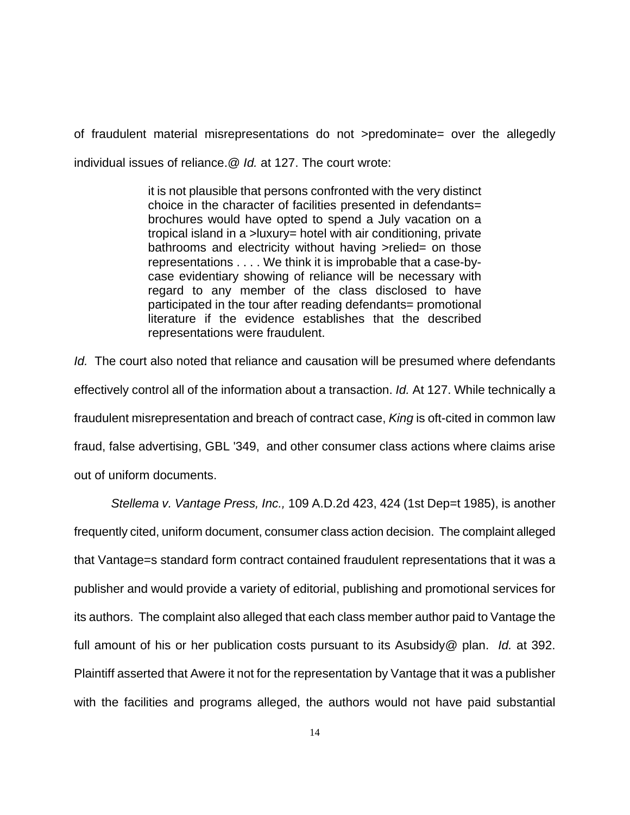of fraudulent material misrepresentations do not >predominate= over the allegedly individual issues of reliance.@ *Id.* at 127. The court wrote:

> it is not plausible that persons confronted with the very distinct choice in the character of facilities presented in defendants= brochures would have opted to spend a July vacation on a tropical island in a >luxury= hotel with air conditioning, private bathrooms and electricity without having >relied= on those representations . . . . We think it is improbable that a case-bycase evidentiary showing of reliance will be necessary with regard to any member of the class disclosed to have participated in the tour after reading defendants= promotional literature if the evidence establishes that the described representations were fraudulent.

*Id.* The court also noted that reliance and causation will be presumed where defendants effectively control all of the information about a transaction. *Id.* At 127. While technically a fraudulent misrepresentation and breach of contract case, *King* is oft-cited in common law fraud, false advertising, GBL '349, and other consumer class actions where claims arise out of uniform documents.

*Stellema v. Vantage Press, Inc.,* 109 A.D.2d 423, 424 (1st Dep=t 1985), is another frequently cited, uniform document, consumer class action decision. The complaint alleged that Vantage=s standard form contract contained fraudulent representations that it was a publisher and would provide a variety of editorial, publishing and promotional services for its authors. The complaint also alleged that each class member author paid to Vantage the full amount of his or her publication costs pursuant to its Asubsidy@ plan. *Id.* at 392. Plaintiff asserted that Awere it not for the representation by Vantage that it was a publisher with the facilities and programs alleged, the authors would not have paid substantial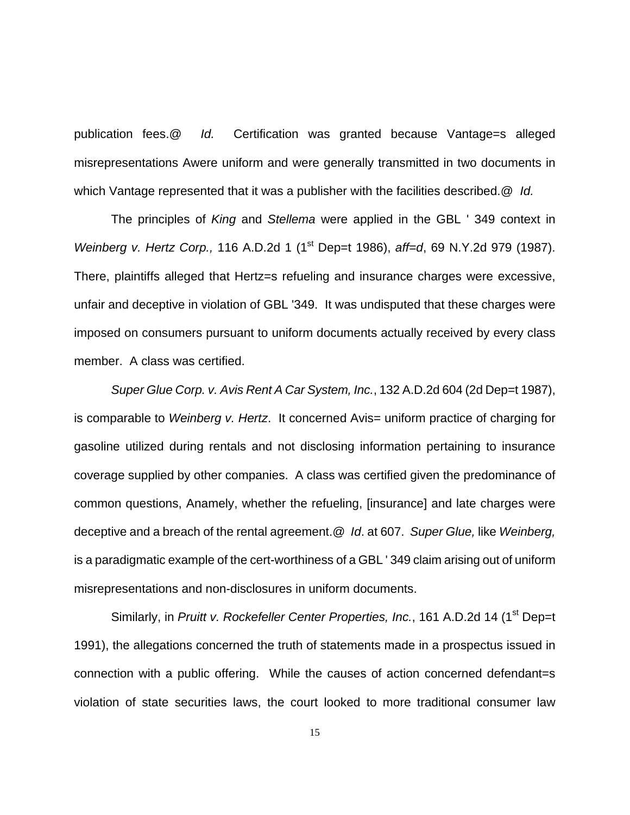publication fees.@ *Id.* Certification was granted because Vantage=s alleged misrepresentations Awere uniform and were generally transmitted in two documents in which Vantage represented that it was a publisher with the facilities described.@ *Id.*

The principles of *King* and *Stellema* were applied in the GBL ' 349 context in *Weinberg v. Hertz Corp.,* 116 A.D.2d 1 (1<sup>st</sup> Dep=t 1986), *aff=d*, 69 N.Y.2d 979 (1987). There, plaintiffs alleged that Hertz=s refueling and insurance charges were excessive, unfair and deceptive in violation of GBL '349. It was undisputed that these charges were imposed on consumers pursuant to uniform documents actually received by every class member. A class was certified.

*Super Glue Corp. v. Avis Rent A Car System, Inc.*, 132 A.D.2d 604 (2d Dep=t 1987), is comparable to *Weinberg v. Hertz*. It concerned Avis= uniform practice of charging for gasoline utilized during rentals and not disclosing information pertaining to insurance coverage supplied by other companies. A class was certified given the predominance of common questions, Anamely, whether the refueling, [insurance] and late charges were deceptive and a breach of the rental agreement.@ *Id*. at 607. *Super Glue,* like *Weinberg,* is a paradigmatic example of the cert-worthiness of a GBL ' 349 claim arising out of uniform misrepresentations and non-disclosures in uniform documents.

Similarly, in *Pruitt v. Rockefeller Center Properties, Inc.*, 161 A.D.2d 14 (1<sup>st</sup> Dep=t 1991), the allegations concerned the truth of statements made in a prospectus issued in connection with a public offering. While the causes of action concerned defendant=s violation of state securities laws, the court looked to more traditional consumer law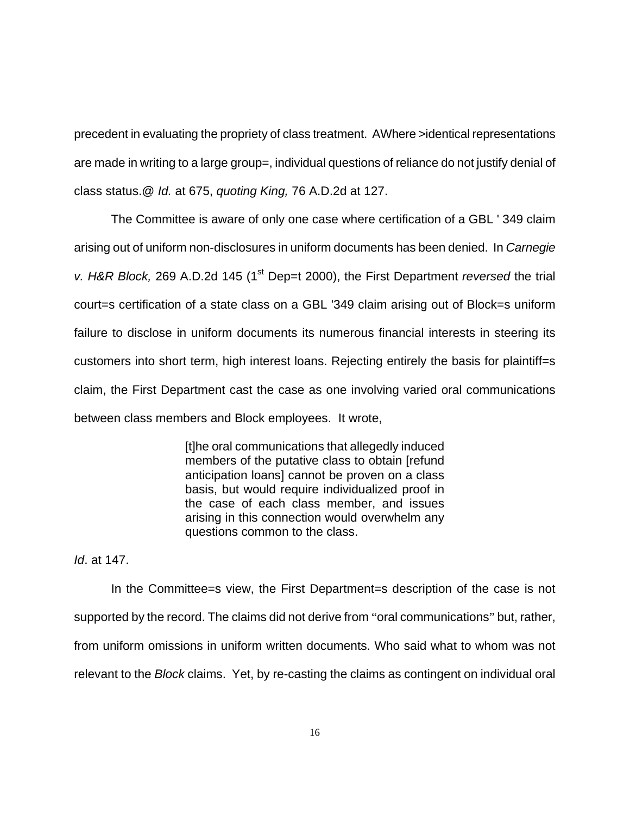precedent in evaluating the propriety of class treatment. AWhere >identical representations are made in writing to a large group=, individual questions of reliance do not justify denial of class status.@ *Id.* at 675, *quoting King,* 76 A.D.2d at 127.

The Committee is aware of only one case where certification of a GBL ' 349 claim arising out of uniform non-disclosures in uniform documents has been denied. In *Carnegie v. H&R Block,* 269 A.D.2d 145 (1<sup>st</sup> Dep=t 2000), the First Department *reversed* the trial court=s certification of a state class on a GBL '349 claim arising out of Block=s uniform failure to disclose in uniform documents its numerous financial interests in steering its customers into short term, high interest loans. Rejecting entirely the basis for plaintiff=s claim, the First Department cast the case as one involving varied oral communications between class members and Block employees. It wrote,

> [t]he oral communications that allegedly induced members of the putative class to obtain [refund anticipation loans] cannot be proven on a class basis, but would require individualized proof in the case of each class member, and issues arising in this connection would overwhelm any questions common to the class.

*Id*. at 147.

In the Committee=s view, the First Department=s description of the case is not supported by the record. The claims did not derive from "oral communications" but, rather, from uniform omissions in uniform written documents. Who said what to whom was not relevant to the *Block* claims. Yet, by re-casting the claims as contingent on individual oral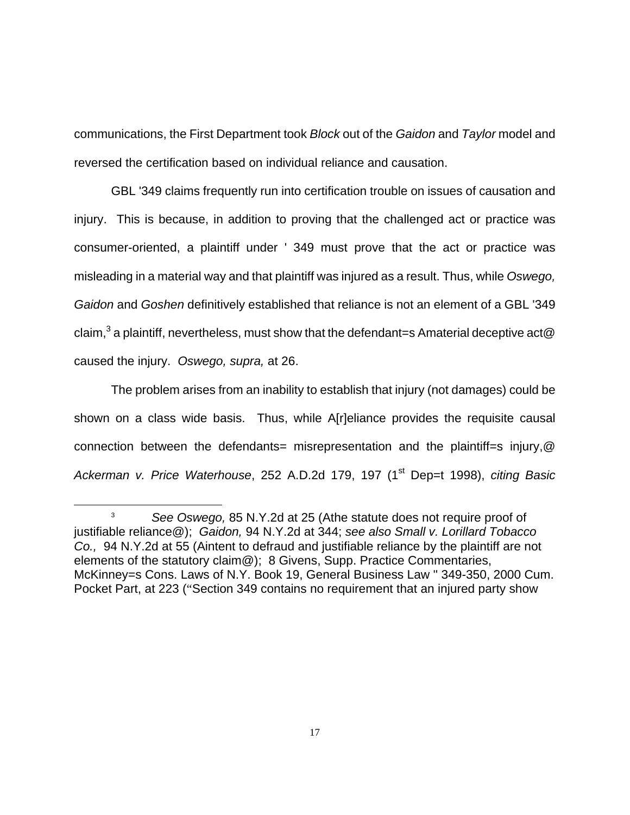communications, the First Department took *Block* out of the *Gaidon* and *Taylor* model and reversed the certification based on individual reliance and causation.

GBL '349 claims frequently run into certification trouble on issues of causation and injury. This is because, in addition to proving that the challenged act or practice was consumer-oriented, a plaintiff under ' 349 must prove that the act or practice was misleading in a material way and that plaintiff was injured as a result. Thus, while *Oswego, Gaidon* and *Goshen* definitively established that reliance is not an element of a GBL '349 claim, $^3$  a plaintiff, nevertheless, must show that the defendant=s Amaterial deceptive act@ caused the injury. *Oswego, supra,* at 26.

The problem arises from an inability to establish that injury (not damages) could be shown on a class wide basis. Thus, while A[r]eliance provides the requisite causal connection between the defendants= misrepresentation and the plaintiff=s injury,  $@$ *Ackerman v. Price Waterhouse*, 252 A.D.2d 179, 197 (1st Dep=t 1998), *citing Basic* 

<u>.</u>

<sup>3</sup> *See Oswego,* 85 N.Y.2d at 25 (Athe statute does not require proof of justifiable reliance@); *Gaidon,* 94 N.Y.2d at 344; *see also Small v. Lorillard Tobacco Co.,* 94 N.Y.2d at 55 (Aintent to defraud and justifiable reliance by the plaintiff are not elements of the statutory claim@); 8 Givens, Supp. Practice Commentaries, McKinney=s Cons. Laws of N.Y. Book 19, General Business Law '' 349-350, 2000 Cum. Pocket Part, at 223 ("Section 349 contains no requirement that an injured party show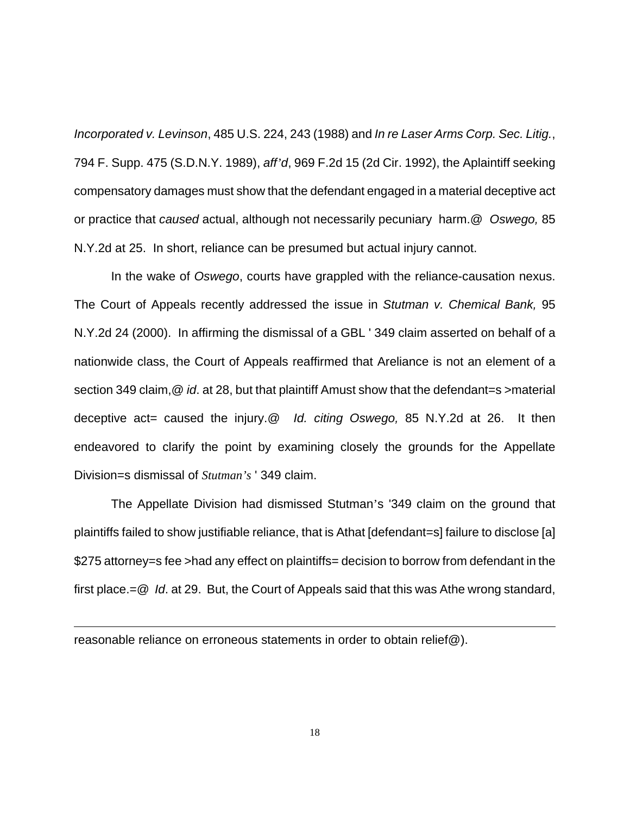*Incorporated v. Levinson*, 485 U.S. 224, 243 (1988) and *In re Laser Arms Corp. Sec. Litig.*, 794 F. Supp. 475 (S.D.N.Y. 1989), *aff'd*, 969 F.2d 15 (2d Cir. 1992), the Aplaintiff seeking compensatory damages must show that the defendant engaged in a material deceptive act or practice that *caused* actual, although not necessarily pecuniary harm.@ *Oswego,* 85 N.Y.2d at 25. In short, reliance can be presumed but actual injury cannot.

In the wake of *Oswego*, courts have grappled with the reliance-causation nexus. The Court of Appeals recently addressed the issue in *Stutman v. Chemical Bank,* 95 N.Y.2d 24 (2000). In affirming the dismissal of a GBL ' 349 claim asserted on behalf of a nationwide class, the Court of Appeals reaffirmed that Areliance is not an element of a section 349 claim, @ *id.* at 28, but that plaintiff Amust show that the defendant=s >material deceptive act= caused the injury.@ *Id. citing Oswego,* 85 N.Y.2d at 26. It then endeavored to clarify the point by examining closely the grounds for the Appellate Division=s dismissal of *Stutman's* ' 349 claim.

The Appellate Division had dismissed Stutman's '349 claim on the ground that plaintiffs failed to show justifiable reliance, that is Athat [defendant=s] failure to disclose [a] \$275 attorney=s fee >had any effect on plaintiffs= decision to borrow from defendant in the first place.=@ *Id*. at 29. But, the Court of Appeals said that this was Athe wrong standard,

 $\overline{a}$ 

reasonable reliance on erroneous statements in order to obtain relief@).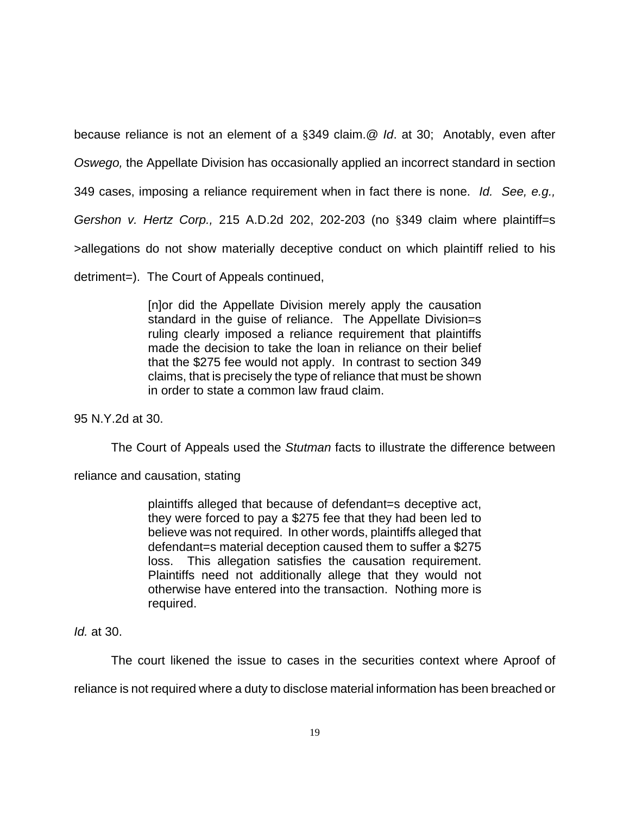because reliance is not an element of a §349 claim.@ *Id*. at 30; Anotably, even after

*Oswego,* the Appellate Division has occasionally applied an incorrect standard in section

349 cases, imposing a reliance requirement when in fact there is none. *Id. See, e.g.,* 

*Gershon v. Hertz Corp.,* 215 A.D.2d 202, 202-203 (no §349 claim where plaintiff=s

>allegations do not show materially deceptive conduct on which plaintiff relied to his

detriment=). The Court of Appeals continued,

[n]or did the Appellate Division merely apply the causation standard in the guise of reliance. The Appellate Division=s ruling clearly imposed a reliance requirement that plaintiffs made the decision to take the loan in reliance on their belief that the \$275 fee would not apply. In contrast to section 349 claims, that is precisely the type of reliance that must be shown in order to state a common law fraud claim.

95 N.Y.2d at 30.

The Court of Appeals used the *Stutman* facts to illustrate the difference between

reliance and causation, stating

plaintiffs alleged that because of defendant=s deceptive act, they were forced to pay a \$275 fee that they had been led to believe was not required. In other words, plaintiffs alleged that defendant=s material deception caused them to suffer a \$275 loss. This allegation satisfies the causation requirement. Plaintiffs need not additionally allege that they would not otherwise have entered into the transaction. Nothing more is required.

# *Id.* at 30.

The court likened the issue to cases in the securities context where Aproof of reliance is not required where a duty to disclose material information has been breached or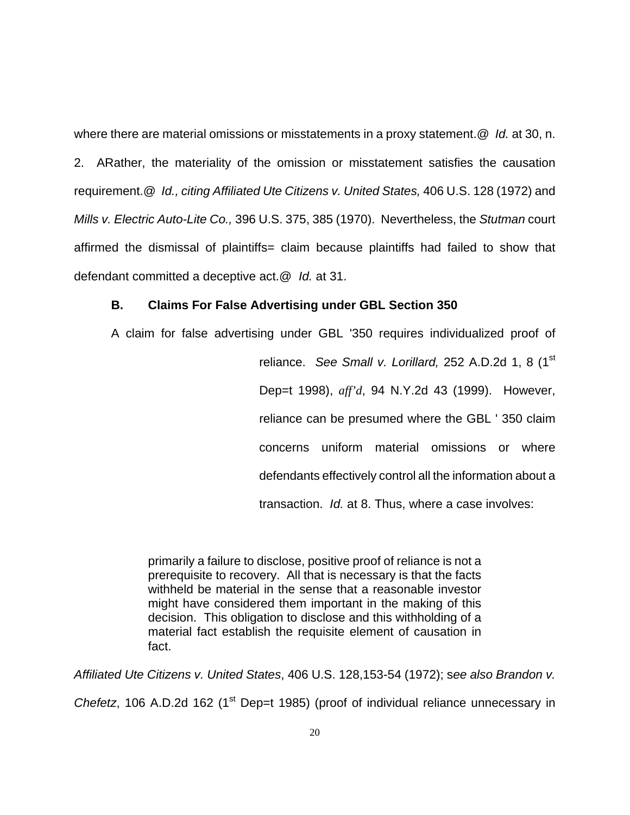where there are material omissions or misstatements in a proxy statement.@ *Id.* at 30, n. 2. ARather, the materiality of the omission or misstatement satisfies the causation requirement.@ *Id., citing Affiliated Ute Citizens v. United States,* 406 U.S. 128 (1972) and *Mills v. Electric Auto-Lite Co.,* 396 U.S. 375, 385 (1970). Nevertheless, the *Stutman* court affirmed the dismissal of plaintiffs= claim because plaintiffs had failed to show that defendant committed a deceptive act.@ *Id.* at 31.

# **B. Claims For False Advertising under GBL Section 350**

A claim for false advertising under GBL '350 requires individualized proof of reliance. *See Small v. Lorillard,* 252 A.D.2d 1, 8 (1<sup>st</sup>) Dep=t 1998), *aff'd*, 94 N.Y.2d 43 (1999). However, reliance can be presumed where the GBL ' 350 claim concerns uniform material omissions or where defendants effectively control all the information about a transaction. *Id.* at 8. Thus, where a case involves:

primarily a failure to disclose, positive proof of reliance is not a prerequisite to recovery. All that is necessary is that the facts withheld be material in the sense that a reasonable investor might have considered them important in the making of this decision. This obligation to disclose and this withholding of a material fact establish the requisite element of causation in fact.

*Affiliated Ute Citizens v. United States*, 406 U.S. 128,153-54 (1972); s*ee also Brandon v.* 

*Chefetz*, 106 A.D.2d 162 (1<sup>st</sup> Dep=t 1985) (proof of individual reliance unnecessary in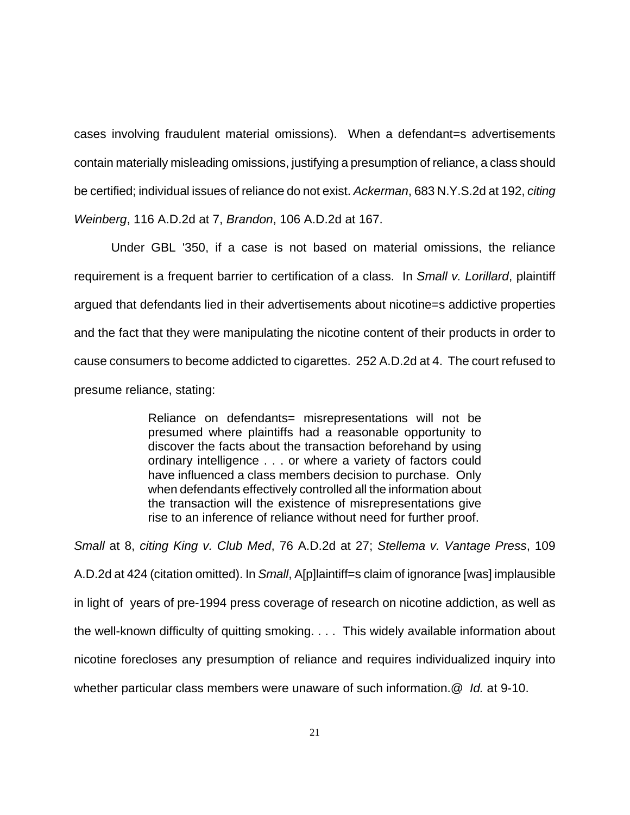cases involving fraudulent material omissions). When a defendant=s advertisements contain materially misleading omissions, justifying a presumption of reliance, a class should be certified; individual issues of reliance do not exist. *Ackerman*, 683 N.Y.S.2d at 192, *citing Weinberg*, 116 A.D.2d at 7, *Brandon*, 106 A.D.2d at 167.

Under GBL '350, if a case is not based on material omissions, the reliance requirement is a frequent barrier to certification of a class. In *Small v. Lorillard*, plaintiff argued that defendants lied in their advertisements about nicotine=s addictive properties and the fact that they were manipulating the nicotine content of their products in order to cause consumers to become addicted to cigarettes. 252 A.D.2d at 4. The court refused to presume reliance, stating:

> Reliance on defendants= misrepresentations will not be presumed where plaintiffs had a reasonable opportunity to discover the facts about the transaction beforehand by using ordinary intelligence . . . or where a variety of factors could have influenced a class members decision to purchase. Only when defendants effectively controlled all the information about the transaction will the existence of misrepresentations give rise to an inference of reliance without need for further proof.

*Small* at 8, *citing King v. Club Med*, 76 A.D.2d at 27; *Stellema v. Vantage Press*, 109 A.D.2d at 424 (citation omitted). In *Small*, A[p]laintiff=s claim of ignorance [was] implausible in light of years of pre-1994 press coverage of research on nicotine addiction, as well as the well-known difficulty of quitting smoking. . . . This widely available information about nicotine forecloses any presumption of reliance and requires individualized inquiry into whether particular class members were unaware of such information.@ *Id.* at 9-10.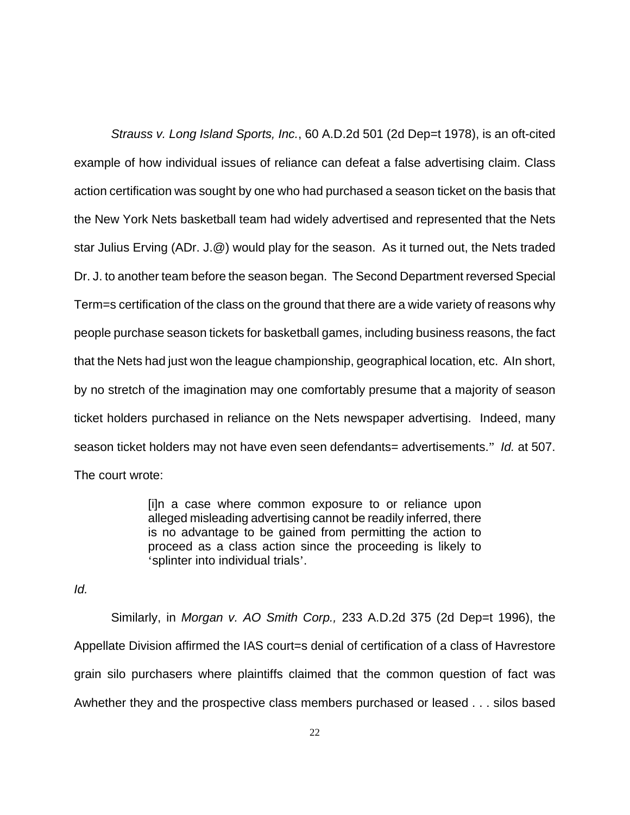*Strauss v. Long Island Sports, Inc.*, 60 A.D.2d 501 (2d Dep=t 1978), is an oft-cited example of how individual issues of reliance can defeat a false advertising claim. Class action certification was sought by one who had purchased a season ticket on the basis that the New York Nets basketball team had widely advertised and represented that the Nets star Julius Erving (ADr. J.@) would play for the season. As it turned out, the Nets traded Dr. J. to another team before the season began. The Second Department reversed Special Term=s certification of the class on the ground that there are a wide variety of reasons why people purchase season tickets for basketball games, including business reasons, the fact that the Nets had just won the league championship, geographical location, etc. AIn short, by no stretch of the imagination may one comfortably presume that a majority of season ticket holders purchased in reliance on the Nets newspaper advertising. Indeed, many season ticket holders may not have even seen defendants= advertisements." *Id.* at 507. The court wrote:

> [i]n a case where common exposure to or reliance upon alleged misleading advertising cannot be readily inferred, there is no advantage to be gained from permitting the action to proceed as a class action since the proceeding is likely to 'splinter into individual trials'.

*Id.*

Similarly, in *Morgan v. AO Smith Corp.,* 233 A.D.2d 375 (2d Dep=t 1996), the Appellate Division affirmed the IAS court=s denial of certification of a class of Havrestore grain silo purchasers where plaintiffs claimed that the common question of fact was Awhether they and the prospective class members purchased or leased . . . silos based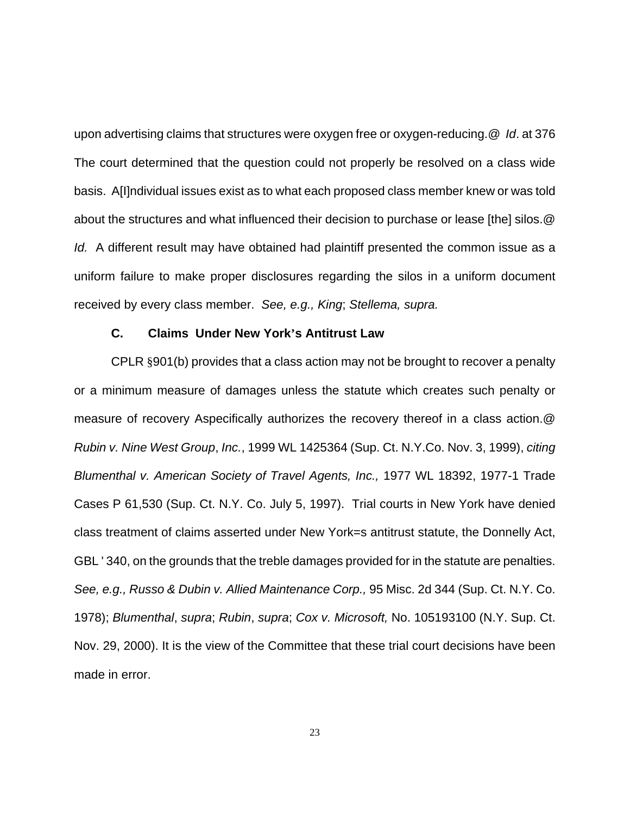upon advertising claims that structures were oxygen free or oxygen-reducing.@ *Id*. at 376 The court determined that the question could not properly be resolved on a class wide basis. A[I]ndividual issues exist as to what each proposed class member knew or was told about the structures and what influenced their decision to purchase or lease [the] silos.@ *Id.* A different result may have obtained had plaintiff presented the common issue as a uniform failure to make proper disclosures regarding the silos in a uniform document received by every class member. *See, e.g., King*; *Stellema, supra.* 

#### **C. Claims Under New York's Antitrust Law**

CPLR §901(b) provides that a class action may not be brought to recover a penalty or a minimum measure of damages unless the statute which creates such penalty or measure of recovery Aspecifically authorizes the recovery thereof in a class action.@ *Rubin v. Nine West Group*, *Inc.*, 1999 WL 1425364 (Sup. Ct. N.Y.Co. Nov. 3, 1999), *citing Blumenthal v. American Society of Travel Agents, Inc.,* 1977 WL 18392, 1977-1 Trade Cases P 61,530 (Sup. Ct. N.Y. Co. July 5, 1997). Trial courts in New York have denied class treatment of claims asserted under New York=s antitrust statute, the Donnelly Act, GBL ' 340, on the grounds that the treble damages provided for in the statute are penalties. *See, e.g., Russo & Dubin v. Allied Maintenance Corp.,* 95 Misc. 2d 344 (Sup. Ct. N.Y. Co. 1978); *Blumenthal*, *supra*; *Rubin*, *supra*; *Cox v. Microsoft,* No. 105193100 (N.Y. Sup. Ct. Nov. 29, 2000). It is the view of the Committee that these trial court decisions have been made in error.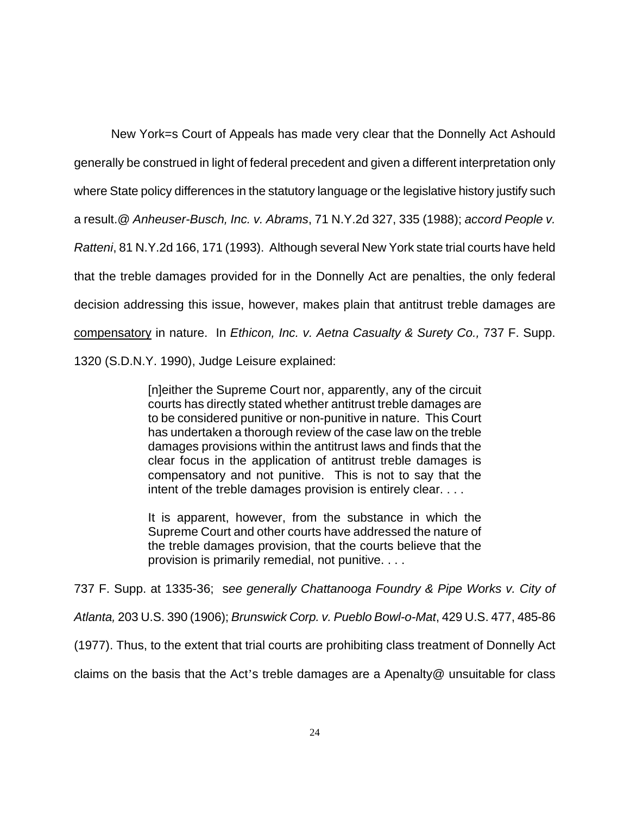New York=s Court of Appeals has made very clear that the Donnelly Act Ashould generally be construed in light of federal precedent and given a different interpretation only where State policy differences in the statutory language or the legislative history justify such a result.@ *Anheuser-Busch, Inc. v. Abrams*, 71 N.Y.2d 327, 335 (1988); *accord People v. Ratteni*, 81 N.Y.2d 166, 171 (1993). Although several New York state trial courts have held that the treble damages provided for in the Donnelly Act are penalties, the only federal decision addressing this issue, however, makes plain that antitrust treble damages are compensatory in nature. In *Ethicon, Inc. v. Aetna Casualty & Surety Co.,* 737 F. Supp. 1320 (S.D.N.Y. 1990), Judge Leisure explained:

> [n]either the Supreme Court nor, apparently, any of the circuit courts has directly stated whether antitrust treble damages are to be considered punitive or non-punitive in nature. This Court has undertaken a thorough review of the case law on the treble damages provisions within the antitrust laws and finds that the clear focus in the application of antitrust treble damages is compensatory and not punitive. This is not to say that the intent of the treble damages provision is entirely clear. . . .

> It is apparent, however, from the substance in which the Supreme Court and other courts have addressed the nature of the treble damages provision, that the courts believe that the provision is primarily remedial, not punitive. . . .

737 F. Supp. at 1335-36; s*ee generally Chattanooga Foundry & Pipe Works v. City of Atlanta,* 203 U.S. 390 (1906); *Brunswick Corp. v. Pueblo Bowl-o-Mat*, 429 U.S. 477, 485-86 (1977). Thus, to the extent that trial courts are prohibiting class treatment of Donnelly Act claims on the basis that the Act's treble damages are a Apenalty@ unsuitable for class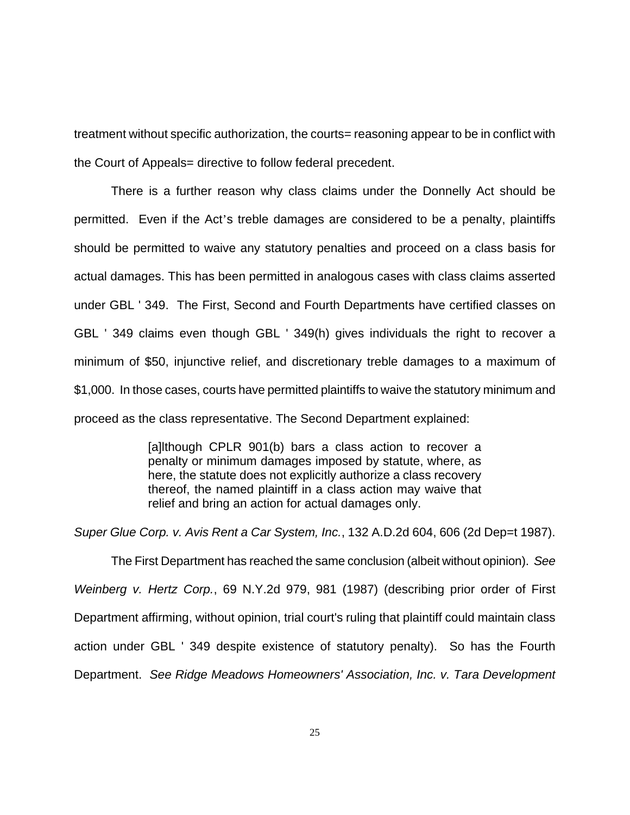treatment without specific authorization, the courts= reasoning appear to be in conflict with the Court of Appeals= directive to follow federal precedent.

There is a further reason why class claims under the Donnelly Act should be permitted. Even if the Act's treble damages are considered to be a penalty, plaintiffs should be permitted to waive any statutory penalties and proceed on a class basis for actual damages. This has been permitted in analogous cases with class claims asserted under GBL ' 349. The First, Second and Fourth Departments have certified classes on GBL ' 349 claims even though GBL ' 349(h) gives individuals the right to recover a minimum of \$50, injunctive relief, and discretionary treble damages to a maximum of \$1,000. In those cases, courts have permitted plaintiffs to waive the statutory minimum and proceed as the class representative. The Second Department explained:

> [a]lthough CPLR 901(b) bars a class action to recover a penalty or minimum damages imposed by statute, where, as here, the statute does not explicitly authorize a class recovery thereof, the named plaintiff in a class action may waive that relief and bring an action for actual damages only.

*Super Glue Corp. v. Avis Rent a Car System, Inc.*, 132 A.D.2d 604, 606 (2d Dep=t 1987).

The First Department has reached the same conclusion (albeit without opinion). *See Weinberg v. Hertz Corp.*, 69 N.Y.2d 979, 981 (1987) (describing prior order of First Department affirming, without opinion, trial court's ruling that plaintiff could maintain class action under GBL ' 349 despite existence of statutory penalty). So has the Fourth Department. *See Ridge Meadows Homeowners' Association, Inc. v. Tara Development*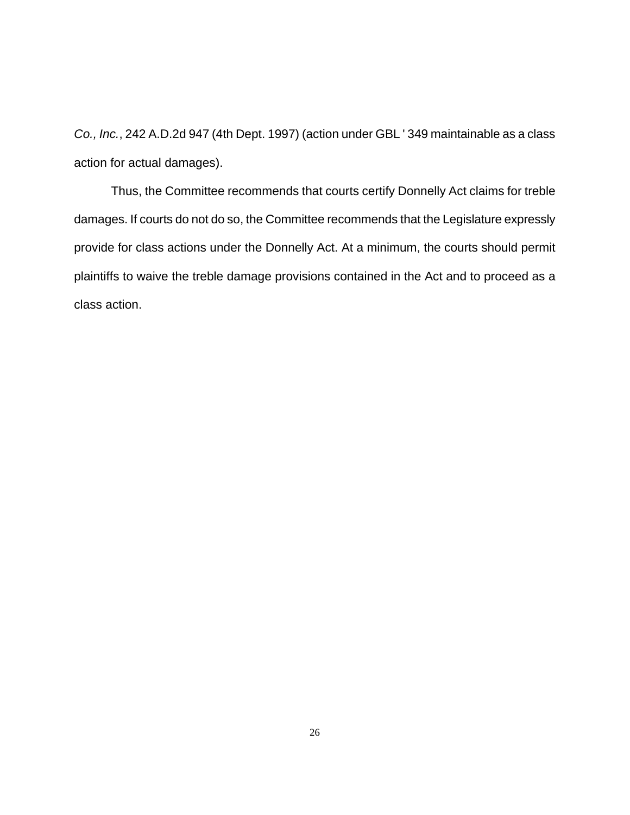*Co., Inc.*, 242 A.D.2d 947 (4th Dept. 1997) (action under GBL ' 349 maintainable as a class action for actual damages).

Thus, the Committee recommends that courts certify Donnelly Act claims for treble damages. If courts do not do so, the Committee recommends that the Legislature expressly provide for class actions under the Donnelly Act. At a minimum, the courts should permit plaintiffs to waive the treble damage provisions contained in the Act and to proceed as a class action.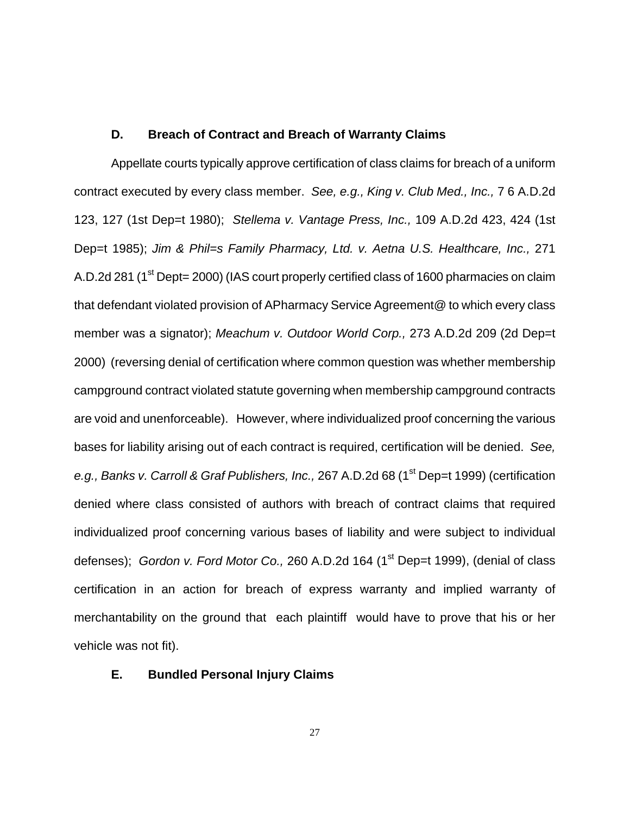#### **D. Breach of Contract and Breach of Warranty Claims**

Appellate courts typically approve certification of class claims for breach of a uniform contract executed by every class member. *See, e.g., King v. Club Med., Inc.,* 7 6 A.D.2d 123, 127 (1st Dep=t 1980); *Stellema v. Vantage Press, Inc.,* 109 A.D.2d 423, 424 (1st Dep=t 1985); *Jim & Phil=s Family Pharmacy, Ltd. v. Aetna U.S. Healthcare, Inc.,* 271 A.D.2d 281 (1<sup>st</sup> Dept= 2000) (IAS court properly certified class of 1600 pharmacies on claim that defendant violated provision of APharmacy Service Agreement@ to which every class member was a signator); *Meachum v. Outdoor World Corp.,* 273 A.D.2d 209 (2d Dep=t 2000) (reversing denial of certification where common question was whether membership campground contract violated statute governing when membership campground contracts are void and unenforceable). However, where individualized proof concerning the various bases for liability arising out of each contract is required, certification will be denied. *See,*  e.g., Banks v. Carroll & Graf Publishers, Inc., 267 A.D.2d 68 (1<sup>st</sup> Dep=t 1999) (certification denied where class consisted of authors with breach of contract claims that required individualized proof concerning various bases of liability and were subject to individual defenses); *Gordon v. Ford Motor Co.*, 260 A.D.2d 164 (1<sup>st</sup> Dep=t 1999), (denial of class certification in an action for breach of express warranty and implied warranty of merchantability on the ground that each plaintiff would have to prove that his or her vehicle was not fit).

## **E. Bundled Personal Injury Claims**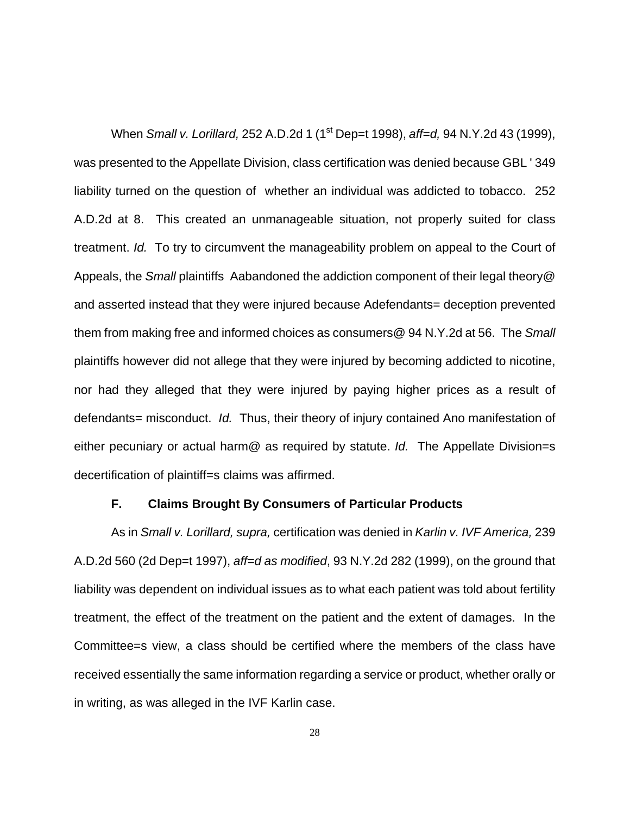When *Small v. Lorillard,* 252 A.D.2d 1 (1<sup>st</sup> Dep=t 1998), *aff=d,* 94 N.Y.2d 43 (1999), was presented to the Appellate Division, class certification was denied because GBL ' 349 liability turned on the question of whether an individual was addicted to tobacco. 252 A.D.2d at 8. This created an unmanageable situation, not properly suited for class treatment. *Id.* To try to circumvent the manageability problem on appeal to the Court of Appeals, the *Small* plaintiffs Aabandoned the addiction component of their legal theory@ and asserted instead that they were injured because Adefendants= deception prevented them from making free and informed choices as consumers@ 94 N.Y.2d at 56. The *Small*  plaintiffs however did not allege that they were injured by becoming addicted to nicotine, nor had they alleged that they were injured by paying higher prices as a result of defendants= misconduct. *Id.* Thus, their theory of injury contained Ano manifestation of either pecuniary or actual harm@ as required by statute. *Id.* The Appellate Division=s decertification of plaintiff=s claims was affirmed.

## **F. Claims Brought By Consumers of Particular Products**

As in *Small v. Lorillard, supra,* certification was denied in *Karlin v. IVF America,* 239 A.D.2d 560 (2d Dep=t 1997), *aff=d as modified*, 93 N.Y.2d 282 (1999), on the ground that liability was dependent on individual issues as to what each patient was told about fertility treatment, the effect of the treatment on the patient and the extent of damages. In the Committee=s view, a class should be certified where the members of the class have received essentially the same information regarding a service or product, whether orally or in writing, as was alleged in the IVF Karlin case.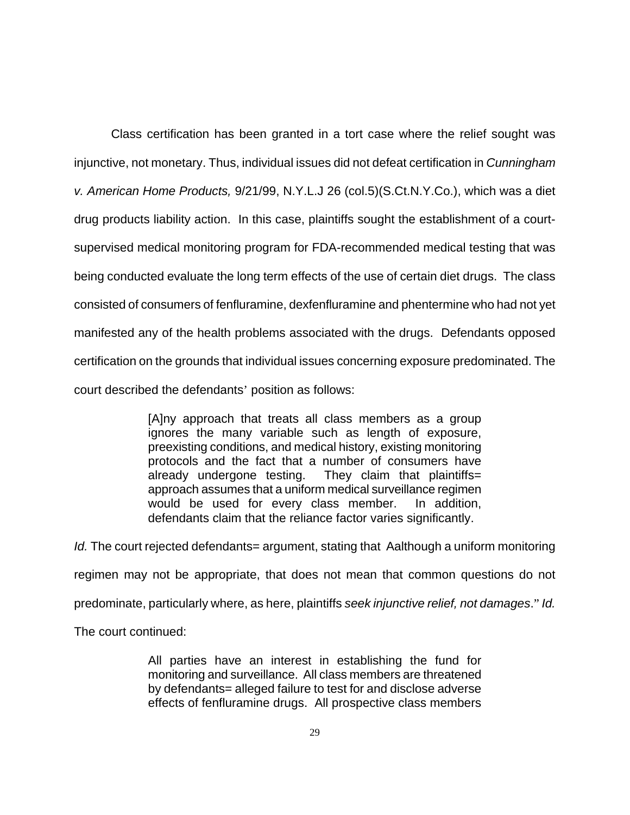Class certification has been granted in a tort case where the relief sought was injunctive, not monetary. Thus, individual issues did not defeat certification in *Cunningham v. American Home Products,* 9/21/99, N.Y.L.J 26 (col.5)(S.Ct.N.Y.Co.), which was a diet drug products liability action. In this case, plaintiffs sought the establishment of a courtsupervised medical monitoring program for FDA-recommended medical testing that was being conducted evaluate the long term effects of the use of certain diet drugs. The class consisted of consumers of fenfluramine, dexfenfluramine and phentermine who had not yet manifested any of the health problems associated with the drugs. Defendants opposed certification on the grounds that individual issues concerning exposure predominated. The court described the defendants' position as follows:

> [A]ny approach that treats all class members as a group ignores the many variable such as length of exposure, preexisting conditions, and medical history, existing monitoring protocols and the fact that a number of consumers have already undergone testing. They claim that plaintiffs= approach assumes that a uniform medical surveillance regimen would be used for every class member. In addition, defendants claim that the reliance factor varies significantly.

*Id.* The court rejected defendants= argument, stating that Aalthough a uniform monitoring regimen may not be appropriate, that does not mean that common questions do not predominate, particularly where, as here, plaintiffs *seek injunctive relief, not damages*." *Id.*

The court continued:

All parties have an interest in establishing the fund for monitoring and surveillance. All class members are threatened by defendants= alleged failure to test for and disclose adverse effects of fenfluramine drugs. All prospective class members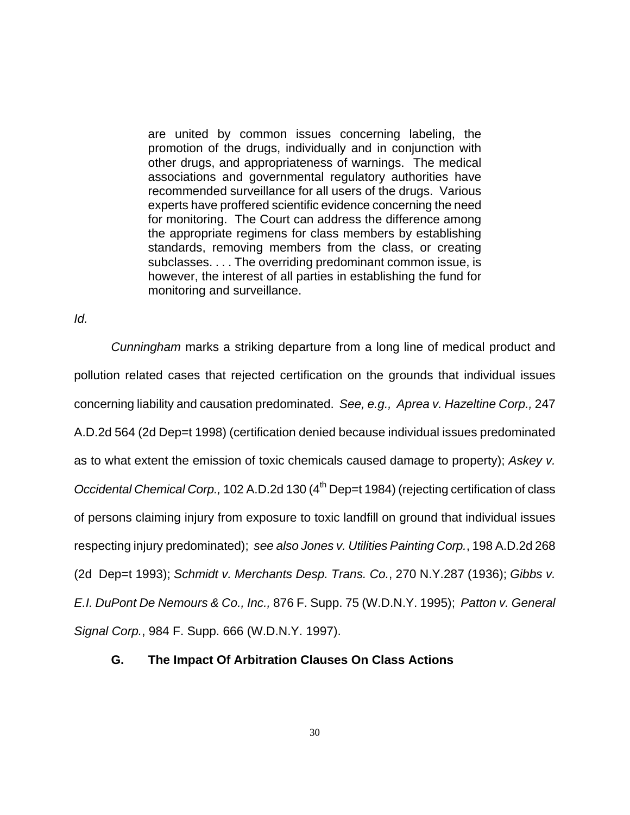are united by common issues concerning labeling, the promotion of the drugs, individually and in conjunction with other drugs, and appropriateness of warnings. The medical associations and governmental regulatory authorities have recommended surveillance for all users of the drugs. Various experts have proffered scientific evidence concerning the need for monitoring. The Court can address the difference among the appropriate regimens for class members by establishing standards, removing members from the class, or creating subclasses. . . . The overriding predominant common issue, is however, the interest of all parties in establishing the fund for monitoring and surveillance.

*Id.*

*Cunningham* marks a striking departure from a long line of medical product and pollution related cases that rejected certification on the grounds that individual issues concerning liability and causation predominated. *See, e.g., Aprea v. Hazeltine Corp.,* 247 A.D.2d 564 (2d Dep=t 1998) (certification denied because individual issues predominated as to what extent the emission of toxic chemicals caused damage to property); *Askey v. Occidental Chemical Corp.,* 102 A.D.2d 130 (4<sup>th</sup> Dep=t 1984) (rejecting certification of class of persons claiming injury from exposure to toxic landfill on ground that individual issues respecting injury predominated); *see also Jones v. Utilities Painting Corp.*, 198 A.D.2d 268 (2d Dep=t 1993); *Schmidt v. Merchants Desp. Trans. Co.*, 270 N.Y.287 (1936); *Gibbs v. E.I. DuPont De Nemours & Co., Inc.,* 876 F. Supp. 75 (W.D.N.Y. 1995); *Patton v. General Signal Corp.*, 984 F. Supp. 666 (W.D.N.Y. 1997).

# **G. The Impact Of Arbitration Clauses On Class Actions**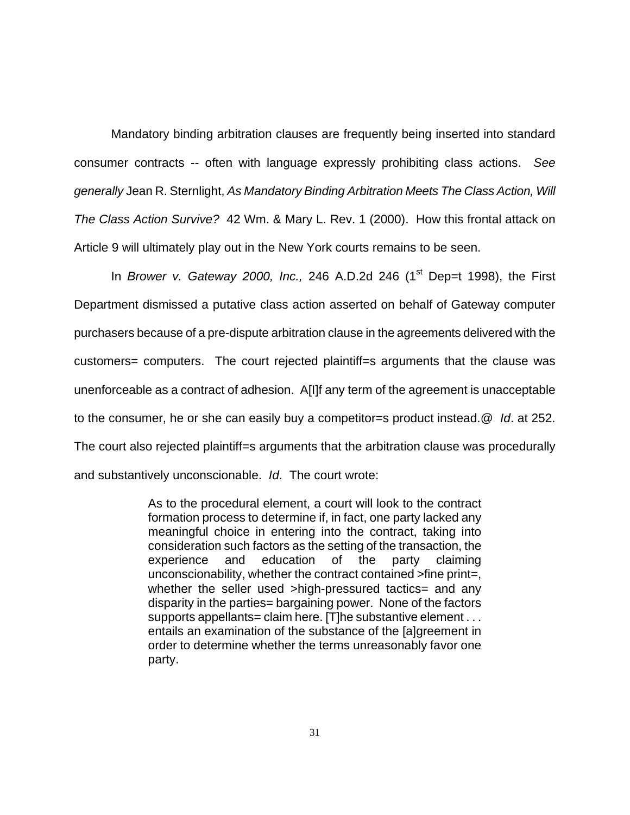Mandatory binding arbitration clauses are frequently being inserted into standard consumer contracts -- often with language expressly prohibiting class actions. *See generally* Jean R. Sternlight, *As Mandatory Binding Arbitration Meets The Class Action, Will The Class Action Survive?* 42 Wm. & Mary L. Rev. 1 (2000). How this frontal attack on Article 9 will ultimately play out in the New York courts remains to be seen.

In *Brower v. Gateway 2000, Inc.,* 246 A.D.2d 246 (1<sup>st</sup> Dep=t 1998), the First Department dismissed a putative class action asserted on behalf of Gateway computer purchasers because of a pre-dispute arbitration clause in the agreements delivered with the customers= computers. The court rejected plaintiff=s arguments that the clause was unenforceable as a contract of adhesion. A[I]f any term of the agreement is unacceptable to the consumer, he or she can easily buy a competitor=s product instead.@ *Id*. at 252. The court also rejected plaintiff=s arguments that the arbitration clause was procedurally and substantively unconscionable. *Id*. The court wrote:

> As to the procedural element, a court will look to the contract formation process to determine if, in fact, one party lacked any meaningful choice in entering into the contract, taking into consideration such factors as the setting of the transaction, the experience and education of the party claiming unconscionability, whether the contract contained >fine print=, whether the seller used >high-pressured tactics= and any disparity in the parties= bargaining power. None of the factors supports appellants= claim here. [T]he substantive element . . . entails an examination of the substance of the [a]greement in order to determine whether the terms unreasonably favor one party.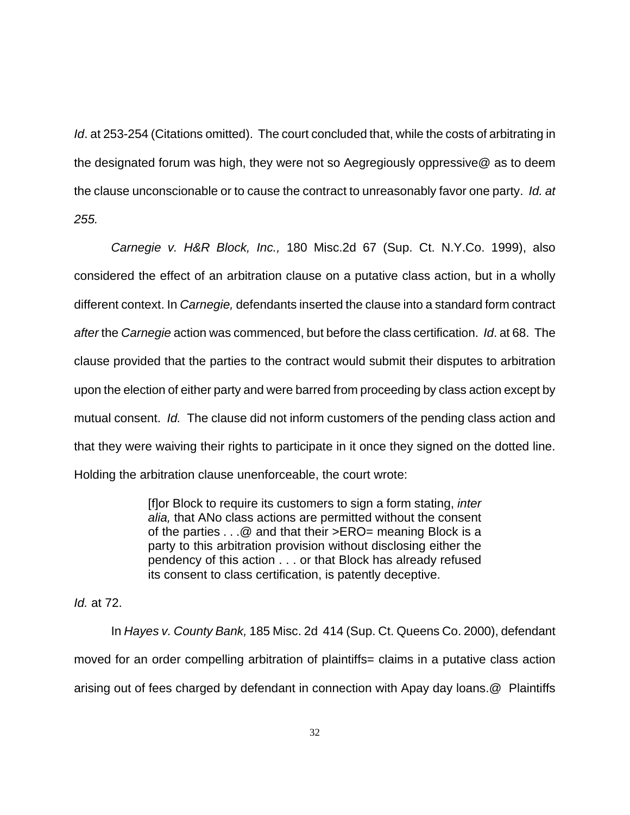*Id.* at 253-254 (Citations omitted). The court concluded that, while the costs of arbitrating in the designated forum was high, they were not so Aegregiously oppressive@ as to deem the clause unconscionable or to cause the contract to unreasonably favor one party. *Id. at 255.*

*Carnegie v. H&R Block, Inc.,* 180 Misc.2d 67 (Sup. Ct. N.Y.Co. 1999), also considered the effect of an arbitration clause on a putative class action, but in a wholly different context. In *Carnegie,* defendants inserted the clause into a standard form contract *after* the *Carnegie* action was commenced, but before the class certification. *Id*. at 68. The clause provided that the parties to the contract would submit their disputes to arbitration upon the election of either party and were barred from proceeding by class action except by mutual consent. *Id.* The clause did not inform customers of the pending class action and that they were waiving their rights to participate in it once they signed on the dotted line. Holding the arbitration clause unenforceable, the court wrote:

> [f]or Block to require its customers to sign a form stating, *inter alia,* that ANo class actions are permitted without the consent of the parties . . .@ and that their >ERO= meaning Block is a party to this arbitration provision without disclosing either the pendency of this action . . . or that Block has already refused its consent to class certification, is patently deceptive.

*Id.* at 72.

In *Hayes v. County Bank,* 185 Misc. 2d 414 (Sup. Ct. Queens Co. 2000), defendant moved for an order compelling arbitration of plaintiffs= claims in a putative class action arising out of fees charged by defendant in connection with Apay day loans.@ Plaintiffs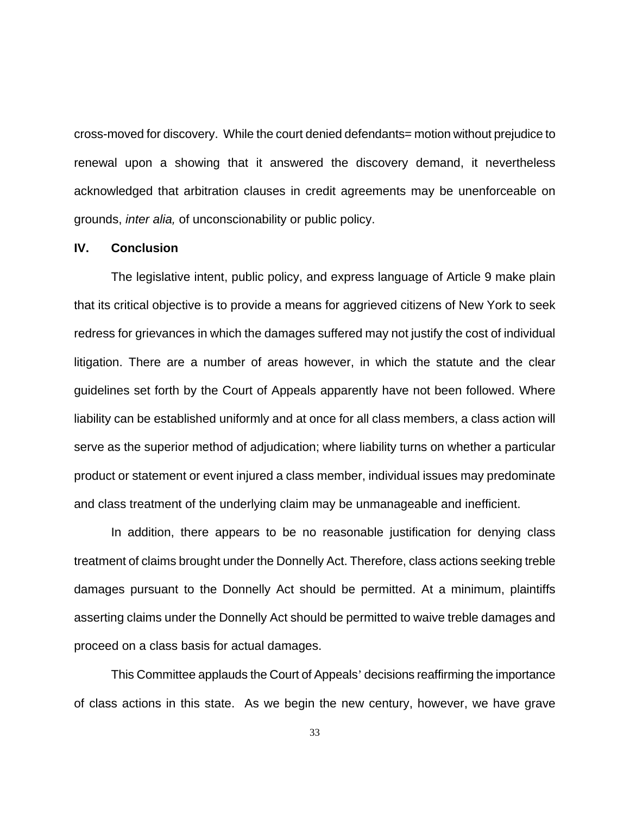cross-moved for discovery. While the court denied defendants= motion without prejudice to renewal upon a showing that it answered the discovery demand, it nevertheless acknowledged that arbitration clauses in credit agreements may be unenforceable on grounds, *inter alia,* of unconscionability or public policy.

#### **IV. Conclusion**

The legislative intent, public policy, and express language of Article 9 make plain that its critical objective is to provide a means for aggrieved citizens of New York to seek redress for grievances in which the damages suffered may not justify the cost of individual litigation. There are a number of areas however, in which the statute and the clear guidelines set forth by the Court of Appeals apparently have not been followed. Where liability can be established uniformly and at once for all class members, a class action will serve as the superior method of adjudication; where liability turns on whether a particular product or statement or event injured a class member, individual issues may predominate and class treatment of the underlying claim may be unmanageable and inefficient.

In addition, there appears to be no reasonable justification for denying class treatment of claims brought under the Donnelly Act. Therefore, class actions seeking treble damages pursuant to the Donnelly Act should be permitted. At a minimum, plaintiffs asserting claims under the Donnelly Act should be permitted to waive treble damages and proceed on a class basis for actual damages.

This Committee applauds the Court of Appeals' decisions reaffirming the importance of class actions in this state. As we begin the new century, however, we have grave